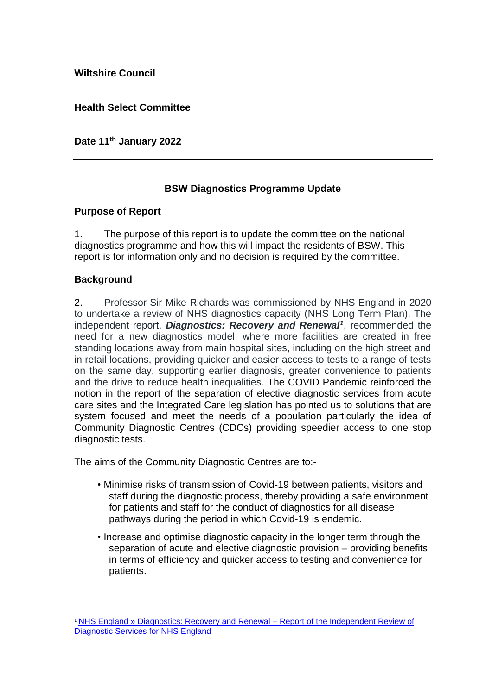**Wiltshire Council**

**Health Select Committee**

**Date 11th January 2022** 

## **BSW Diagnostics Programme Update**

## **Purpose of Report**

1. The purpose of this report is to update the committee on the national diagnostics programme and how this will impact the residents of BSW. This report is for information only and no decision is required by the committee.

## **Background**

1

2. Professor Sir Mike Richards was commissioned by NHS England in 2020 to undertake a review of NHS diagnostics capacity (NHS Long Term Plan). The independent report, *Diagnostics: Recovery and Renewal<sup>1</sup>* , recommended the need for a new diagnostics model, where more facilities are created in free standing locations away from main hospital sites, including on the high street and in retail locations, providing quicker and easier access to tests to a range of tests on the same day, supporting earlier diagnosis, greater convenience to patients and the drive to reduce health inequalities. The COVID Pandemic reinforced the notion in the report of the separation of elective diagnostic services from acute care sites and the Integrated Care legislation has pointed us to solutions that are system focused and meet the needs of a population particularly the idea of Community Diagnostic Centres (CDCs) providing speedier access to one stop diagnostic tests.

The aims of the Community Diagnostic Centres are to:-

- Minimise risks of transmission of Covid-19 between patients, visitors and staff during the diagnostic process, thereby providing a safe environment for patients and staff for the conduct of diagnostics for all disease pathways during the period in which Covid-19 is endemic.
- Increase and optimise diagnostic capacity in the longer term through the separation of acute and elective diagnostic provision – providing benefits in terms of efficiency and quicker access to testing and convenience for patients.

<sup>1</sup> [NHS England » Diagnostics: Recovery and Renewal –](https://www.england.nhs.uk/publication/diagnostics-recovery-and-renewal-report-of-the-independent-review-of-diagnostic-services-for-nhs-england/) Report of the Independent Review of [Diagnostic Services for NHS England](https://www.england.nhs.uk/publication/diagnostics-recovery-and-renewal-report-of-the-independent-review-of-diagnostic-services-for-nhs-england/)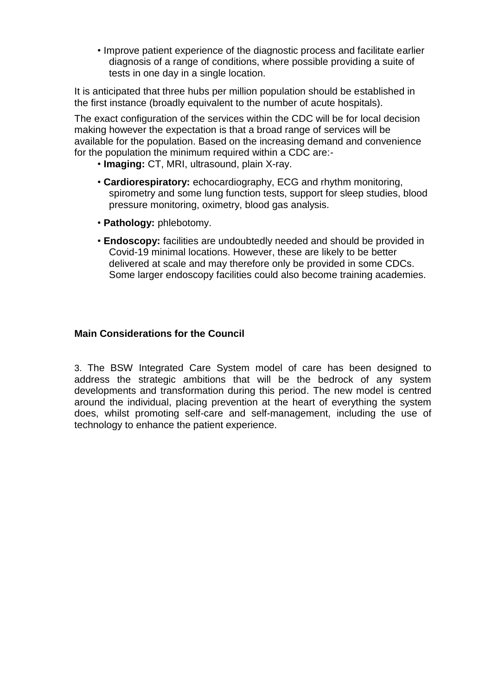• Improve patient experience of the diagnostic process and facilitate earlier diagnosis of a range of conditions, where possible providing a suite of tests in one day in a single location.

It is anticipated that three hubs per million population should be established in the first instance (broadly equivalent to the number of acute hospitals).

The exact configuration of the services within the CDC will be for local decision making however the expectation is that a broad range of services will be available for the population. Based on the increasing demand and convenience for the population the minimum required within a CDC are:-

- **Imaging:** CT, MRI, ultrasound, plain X-ray.
- **Cardiorespiratory:** echocardiography, ECG and rhythm monitoring, spirometry and some lung function tests, support for sleep studies, blood pressure monitoring, oximetry, blood gas analysis.
- **Pathology:** phlebotomy.
- **Endoscopy:** facilities are undoubtedly needed and should be provided in Covid-19 minimal locations. However, these are likely to be better delivered at scale and may therefore only be provided in some CDCs. Some larger endoscopy facilities could also become training academies.

### **Main Considerations for the Council**

3. The BSW Integrated Care System model of care has been designed to address the strategic ambitions that will be the bedrock of any system developments and transformation during this period. The new model is centred around the individual, placing prevention at the heart of everything the system does, whilst promoting self-care and self-management, including the use of technology to enhance the patient experience.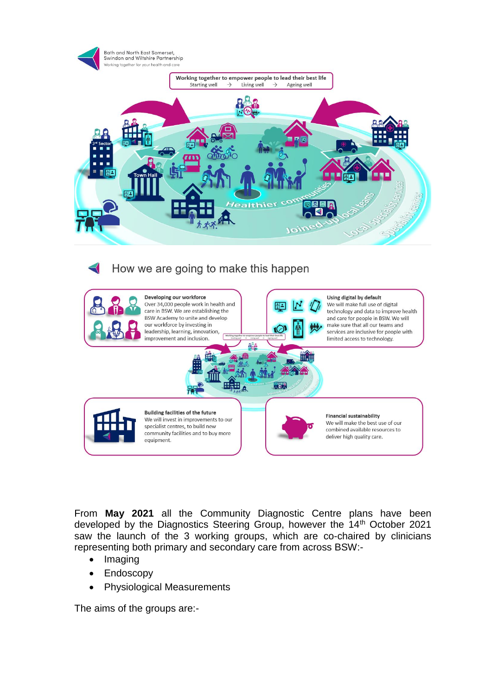

# How we are going to make this happen



From **May 2021** all the Community Diagnostic Centre plans have been developed by the Diagnostics Steering Group, however the 14<sup>th</sup> October 2021 saw the launch of the 3 working groups, which are co-chaired by clinicians representing both primary and secondary care from across BSW:-

- Imaging
- Endoscopy
- Physiological Measurements

The aims of the groups are:-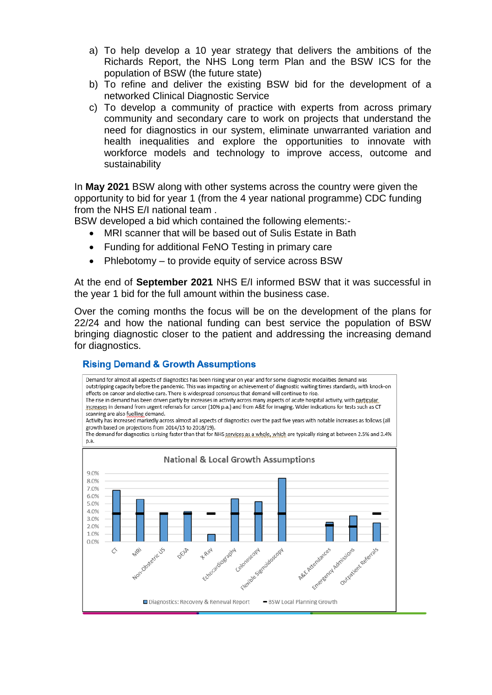- a) To help develop a 10 year strategy that delivers the ambitions of the Richards Report, the NHS Long term Plan and the BSW ICS for the population of BSW (the future state)
- b) To refine and deliver the existing BSW bid for the development of a networked Clinical Diagnostic Service
- c) To develop a community of practice with experts from across primary community and secondary care to work on projects that understand the need for diagnostics in our system, eliminate unwarranted variation and health inequalities and explore the opportunities to innovate with workforce models and technology to improve access, outcome and sustainability

In **May 2021** BSW along with other systems across the country were given the opportunity to bid for year 1 (from the 4 year national programme) CDC funding from the NHS E/I national team .

BSW developed a bid which contained the following elements:-

- MRI scanner that will be based out of Sulis Estate in Bath
- Funding for additional FeNO Testing in primary care
- Phlebotomy to provide equity of service across BSW

At the end of **September 2021** NHS E/I informed BSW that it was successful in the year 1 bid for the full amount within the business case.

Over the coming months the focus will be on the development of the plans for 22/24 and how the national funding can best service the population of BSW bringing diagnostic closer to the patient and addressing the increasing demand for diagnostics.

## **Rising Demand & Growth Assumptions**

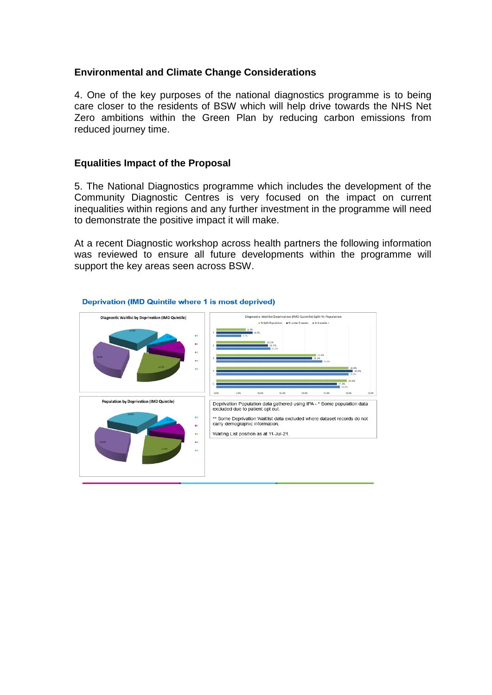## **Environmental and Climate Change Considerations**

4. One of the key purposes of the national diagnostics programme is to being care closer to the residents of BSW which will help drive towards the NHS Net Zero ambitions within the Green Plan by reducing carbon emissions from reduced journey time.

### **Equalities Impact of the Proposal**

5. The National Diagnostics programme which includes the development of the Community Diagnostic Centres is very focused on the impact on current inequalities within regions and any further investment in the programme will need to demonstrate the positive impact it will make.

At a recent Diagnostic workshop across health partners the following information was reviewed to ensure all future developments within the programme will support the key areas seen across BSW.



#### **Deprivation (IMD Quintile where 1 is most deprived)**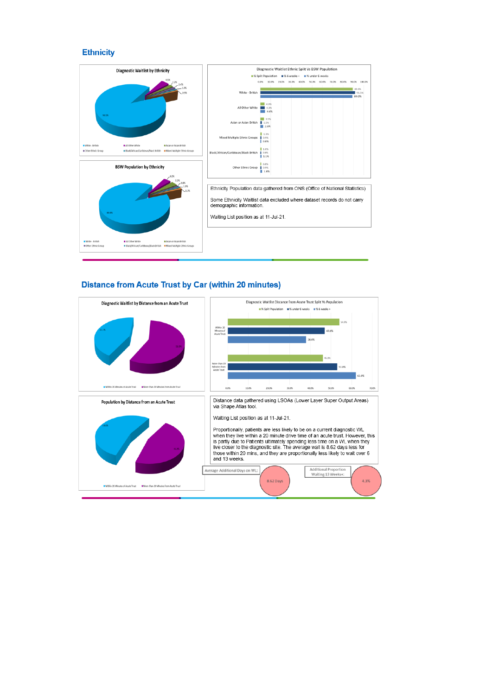#### **Ethnicity**



#### **Distance from Acute Trust by Car (within 20 minutes)**

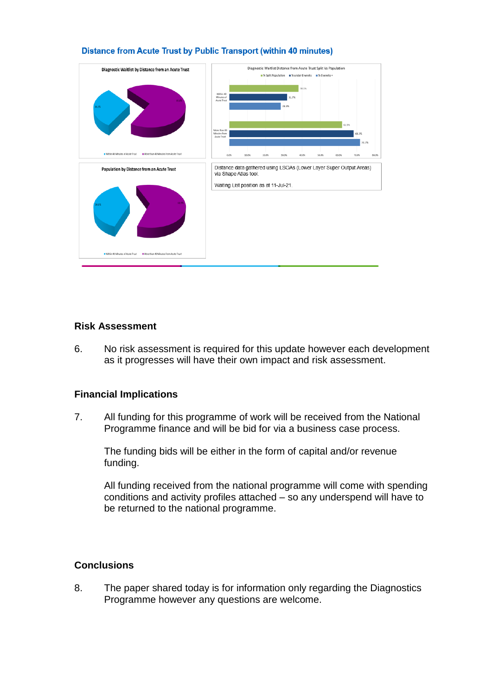

#### Distance from Acute Trust by Public Transport (within 40 minutes)

## **Risk Assessment**

6. No risk assessment is required for this update however each development as it progresses will have their own impact and risk assessment.

## **Financial Implications**

7. All funding for this programme of work will be received from the National Programme finance and will be bid for via a business case process.

The funding bids will be either in the form of capital and/or revenue funding.

All funding received from the national programme will come with spending conditions and activity profiles attached – so any underspend will have to be returned to the national programme.

## **Conclusions**

8. The paper shared today is for information only regarding the Diagnostics Programme however any questions are welcome.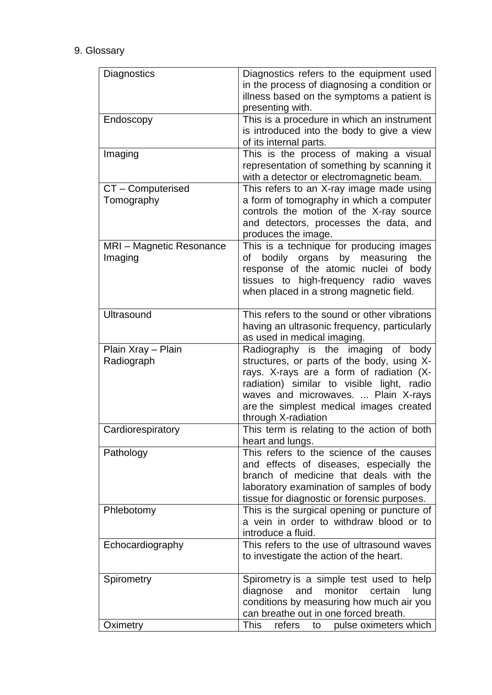# 9. Glossary

| Diagnostics                         | Diagnostics refers to the equipment used<br>in the process of diagnosing a condition or                                                                                                                                                                                             |
|-------------------------------------|-------------------------------------------------------------------------------------------------------------------------------------------------------------------------------------------------------------------------------------------------------------------------------------|
|                                     | illness based on the symptoms a patient is<br>presenting with.                                                                                                                                                                                                                      |
| Endoscopy                           | This is a procedure in which an instrument<br>is introduced into the body to give a view<br>of its internal parts.                                                                                                                                                                  |
| Imaging                             | This is the process of making a visual<br>representation of something by scanning it<br>with a detector or electromagnetic beam.                                                                                                                                                    |
| CT - Computerised<br>Tomography     | This refers to an X-ray image made using<br>a form of tomography in which a computer<br>controls the motion of the X-ray source<br>and detectors, processes the data, and<br>produces the image.                                                                                    |
| MRI - Magnetic Resonance<br>Imaging | This is a technique for producing images<br>bodily organs by measuring<br>the<br>of<br>response of the atomic nuclei of body<br>tissues to high-frequency radio waves<br>when placed in a strong magnetic field.                                                                    |
| <b>Ultrasound</b>                   | This refers to the sound or other vibrations<br>having an ultrasonic frequency, particularly<br>as used in medical imaging.                                                                                                                                                         |
| Plain Xray - Plain<br>Radiograph    | Radiography is the imaging of body<br>structures, or parts of the body, using X-<br>rays. X-rays are a form of radiation (X-<br>radiation) similar to visible light, radio<br>waves and microwaves.  Plain X-rays<br>are the simplest medical images created<br>through X-radiation |
| Cardiorespiratory                   | This term is relating to the action of both<br>heart and lungs.                                                                                                                                                                                                                     |
| Pathology                           | This refers to the science of the causes<br>and effects of diseases, especially the<br>branch of medicine that deals with the<br>laboratory examination of samples of body<br>tissue for diagnostic or forensic purposes.                                                           |
| Phlebotomy                          | This is the surgical opening or puncture of<br>a vein in order to withdraw blood or to<br>introduce a fluid.                                                                                                                                                                        |
| Echocardiography                    | This refers to the use of ultrasound waves<br>to investigate the action of the heart.                                                                                                                                                                                               |
| Spirometry                          | Spirometry is a simple test used to help<br>monitor<br>diagnose<br>and<br>certain<br>lung<br>conditions by measuring how much air you<br>can breathe out in one forced breath.                                                                                                      |
| Oximetry                            | <b>This</b><br>refers<br>pulse oximeters which<br>to                                                                                                                                                                                                                                |